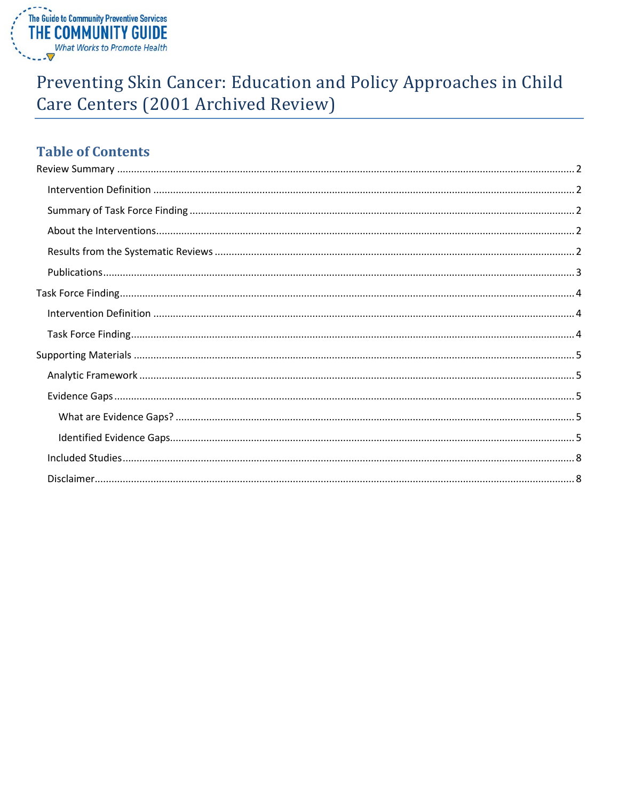

# Preventing Skin Cancer: Education and Policy Approaches in Child Care Centers (2001 Archived Review)

# **Table of Contents**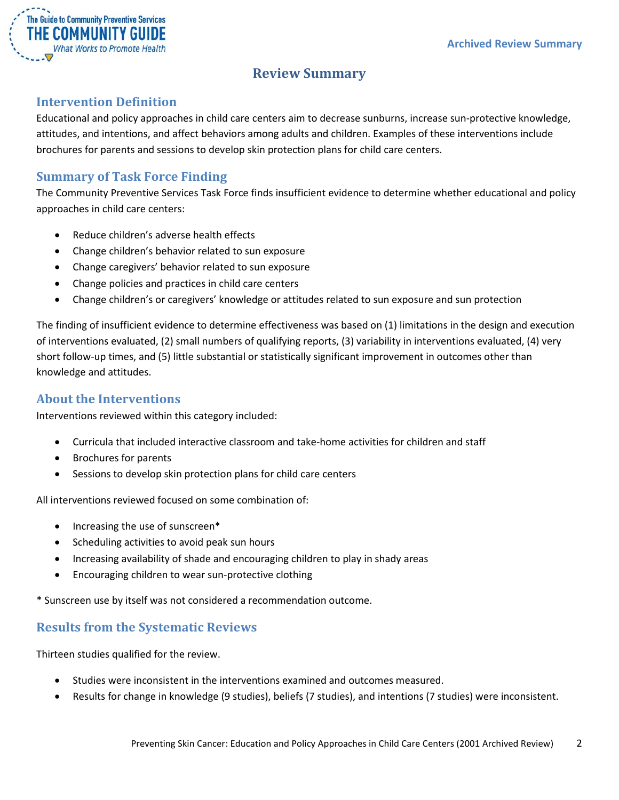

## **Review Summary**

### <span id="page-1-1"></span><span id="page-1-0"></span>**Intervention Definition**

Educational and policy approaches in child care centers aim to decrease sunburns, increase sun-protective knowledge, attitudes, and intentions, and affect behaviors among adults and children. Examples of these interventions include brochures for parents and sessions to develop skin protection plans for child care centers.

### <span id="page-1-2"></span>**Summary of Task Force Finding**

The Community Preventive Services Task Force finds insufficient evidence to determine whether educational and policy approaches in child care centers:

- Reduce children's adverse health effects
- Change children's behavior related to sun exposure
- Change caregivers' behavior related to sun exposure
- Change policies and practices in child care centers
- Change children's or caregivers' knowledge or attitudes related to sun exposure and sun protection

The finding of insufficient evidence to determine effectiveness was based on (1) limitations in the design and execution of interventions evaluated, (2) small numbers of qualifying reports, (3) variability in interventions evaluated, (4) very short follow-up times, and (5) little substantial or statistically significant improvement in outcomes other than knowledge and attitudes.

### <span id="page-1-3"></span>**About the Interventions**

Interventions reviewed within this category included:

- Curricula that included interactive classroom and take-home activities for children and staff
- Brochures for parents
- Sessions to develop skin protection plans for child care centers

All interventions reviewed focused on some combination of:

- Increasing the use of sunscreen\*
- Scheduling activities to avoid peak sun hours
- Increasing availability of shade and encouraging children to play in shady areas
- Encouraging children to wear sun-protective clothing

\* Sunscreen use by itself was not considered a recommendation outcome.

### <span id="page-1-4"></span>**Results from the Systematic Reviews**

Thirteen studies qualified for the review.

- Studies were inconsistent in the interventions examined and outcomes measured.
- Results for change in knowledge (9 studies), beliefs (7 studies), and intentions (7 studies) were inconsistent.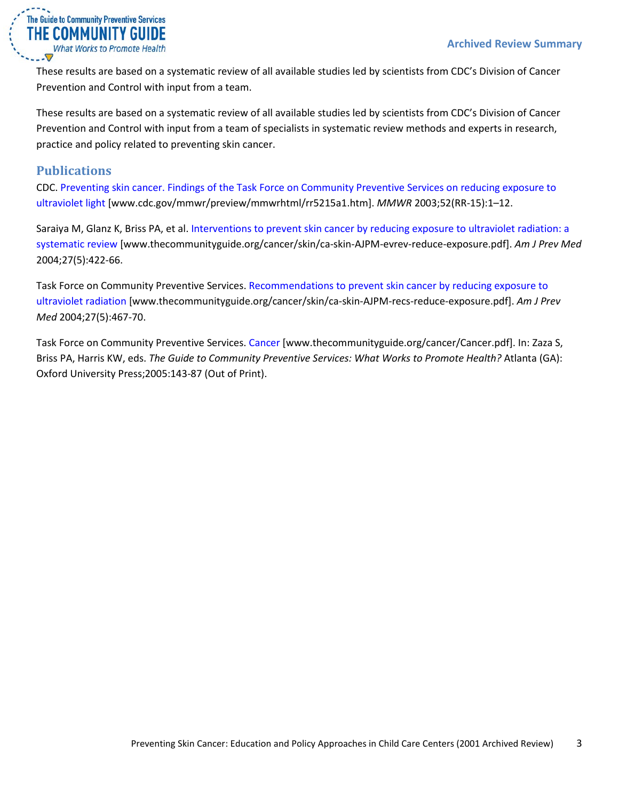

These results are based on a systematic review of all available studies led by scientists from CDC's Division of Cancer Prevention and Control with input from a team.

These results are based on a systematic review of all available studies led by scientists from CDC's Division of Cancer Prevention and Control with input from a team of specialists in systematic review methods and experts in research, practice and policy related to preventing skin cancer.

### <span id="page-2-0"></span>**Publications**

CDC. [Preventing skin cancer. Findings of the Task Force on Community Preventive Services on reducing exposure to](http://www.cdc.gov/mmwr/preview/mmwrhtml/rr5215a1.htm)  [ultraviolet light](http://www.cdc.gov/mmwr/preview/mmwrhtml/rr5215a1.htm) [www.cdc.gov/mmwr/preview/mmwrhtml/rr5215a1.htm]. *MMWR* 2003;52(RR-15):1–12.

Saraiya M, Glanz K, Briss PA, et al. [Interventions to prevent skin cancer by reducing exposure to ultraviolet radiation: a](http://www.thecommunityguide.org/cancer/skin/ca-skin-AJPM-evrev-reduce-exposure.pdf)  [systematic review](http://www.thecommunityguide.org/cancer/skin/ca-skin-AJPM-evrev-reduce-exposure.pdf) [www.thecommunityguide.org/cancer/skin/ca-skin-AJPM-evrev-reduce-exposure.pdf]. *Am J Prev Med* 2004;27(5):422-66.

Task Force on Community Preventive Services. [Recommendations to prevent skin cancer by reducing exposure to](http://www.thecommunityguide.org/cancer/skin/ca-skin-AJPM-recs-reduce-exposure.pdf)  [ultraviolet radiation](http://www.thecommunityguide.org/cancer/skin/ca-skin-AJPM-recs-reduce-exposure.pdf) [www.thecommunityguide.org/cancer/skin/ca-skin-AJPM-recs-reduce-exposure.pdf]. *Am J Prev Med* 2004;27(5):467-70.

Task Force on Community Preventive Services. [Cancer](http://www.thecommunityguide.org/cancer/Cancer.pdf) [www.thecommunityguide.org/cancer/Cancer.pdf]. In: Zaza S, Briss PA, Harris KW, eds. *The Guide to Community Preventive Services: What Works to Promote Health?* Atlanta (GA): Oxford University Press;2005:143-87 (Out of Print).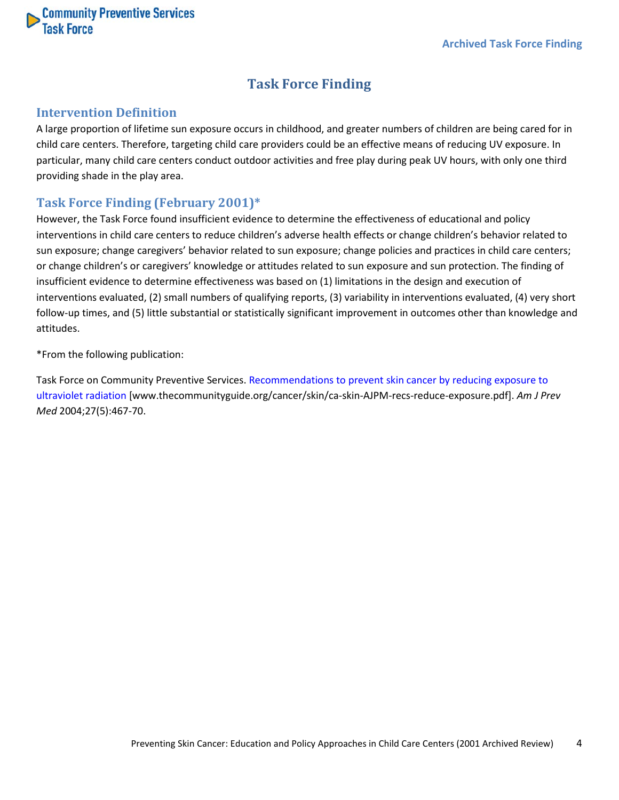<span id="page-3-0"></span>

### **Task Force Finding**

### <span id="page-3-1"></span>**Intervention Definition**

A large proportion of lifetime sun exposure occurs in childhood, and greater numbers of children are being cared for in child care centers. Therefore, targeting child care providers could be an effective means of reducing UV exposure. In particular, many child care centers conduct outdoor activities and free play during peak UV hours, with only one third providing shade in the play area.

### <span id="page-3-2"></span>**Task Force Finding (February 2001)\***

However, the Task Force found insufficient evidence to determine the effectiveness of educational and policy interventions in child care centers to reduce children's adverse health effects or change children's behavior related to sun exposure; change caregivers' behavior related to sun exposure; change policies and practices in child care centers; or change children's or caregivers' knowledge or attitudes related to sun exposure and sun protection. The finding of insufficient evidence to determine effectiveness was based on (1) limitations in the design and execution of interventions evaluated, (2) small numbers of qualifying reports, (3) variability in interventions evaluated, (4) very short follow-up times, and (5) little substantial or statistically significant improvement in outcomes other than knowledge and attitudes.

\*From the following publication:

Task Force on Community Preventive Services. [Recommendations to prevent skin cancer by reducing exposure to](http://www.thecommunityguide.org/cancer/skin/ca-skin-AJPM-recs-reduce-exposure.pdf)  [ultraviolet radiation](http://www.thecommunityguide.org/cancer/skin/ca-skin-AJPM-recs-reduce-exposure.pdf) [www.thecommunityguide.org/cancer/skin/ca-skin-AJPM-recs-reduce-exposure.pdf]. *Am J Prev Med* 2004;27(5):467-70.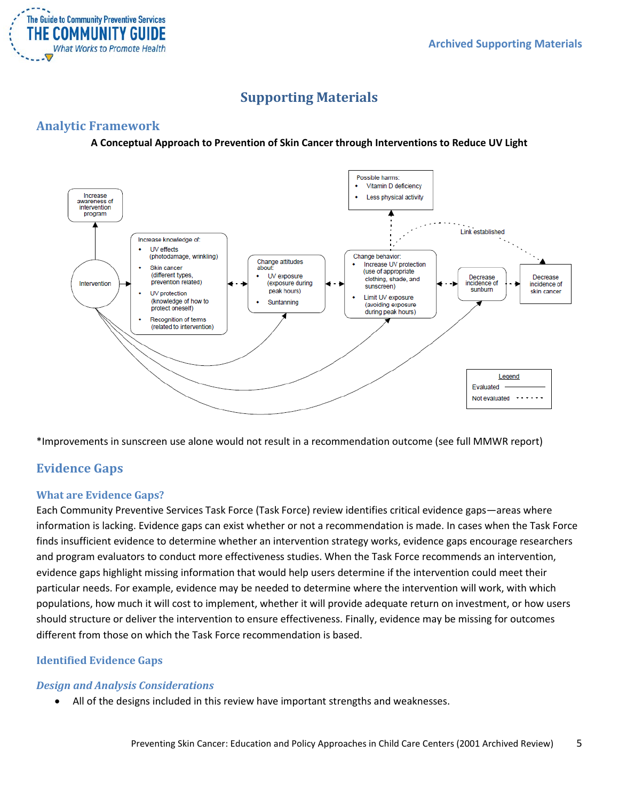

# **Supporting Materials**

### <span id="page-4-1"></span><span id="page-4-0"></span>**Analytic Framework**

### **A Conceptual Approach to Prevention of Skin Cancer through Interventions to Reduce UV Light**



\*Improvements in sunscreen use alone would not result in a recommendation outcome (see full MMWR report)

### <span id="page-4-2"></span>**Evidence Gaps**

#### <span id="page-4-3"></span>**What are Evidence Gaps?**

Each Community Preventive Services Task Force (Task Force) review identifies critical evidence gaps—areas where information is lacking. Evidence gaps can exist whether or not a recommendation is made. In cases when the Task Force finds insufficient evidence to determine whether an intervention strategy works, evidence gaps encourage researchers and program evaluators to conduct more effectiveness studies. When the Task Force recommends an intervention, evidence gaps highlight missing information that would help users determine if the intervention could meet their particular needs. For example, evidence may be needed to determine where the intervention will work, with which populations, how much it will cost to implement, whether it will provide adequate return on investment, or how users should structure or deliver the intervention to ensure effectiveness. Finally, evidence may be missing for outcomes different from those on which the Task Force recommendation is based.

### <span id="page-4-4"></span>**Identified Evidence Gaps**

#### *Design and Analysis Considerations*

• All of the designs included in this review have important strengths and weaknesses.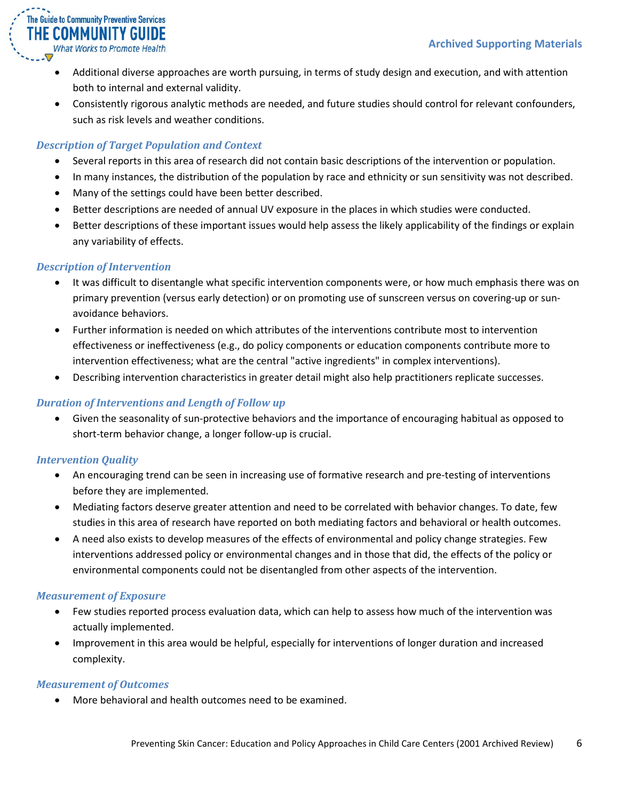

- Additional diverse approaches are worth pursuing, in terms of study design and execution, and with attention both to internal and external validity.
- Consistently rigorous analytic methods are needed, and future studies should control for relevant confounders, such as risk levels and weather conditions.

### *Description of Target Population and Context*

- Several reports in this area of research did not contain basic descriptions of the intervention or population.
- In many instances, the distribution of the population by race and ethnicity or sun sensitivity was not described.
- Many of the settings could have been better described.
- Better descriptions are needed of annual UV exposure in the places in which studies were conducted.
- Better descriptions of these important issues would help assess the likely applicability of the findings or explain any variability of effects.

### *Description of Intervention*

- It was difficult to disentangle what specific intervention components were, or how much emphasis there was on primary prevention (versus early detection) or on promoting use of sunscreen versus on covering-up or sunavoidance behaviors.
- Further information is needed on which attributes of the interventions contribute most to intervention effectiveness or ineffectiveness (e.g., do policy components or education components contribute more to intervention effectiveness; what are the central "active ingredients" in complex interventions).
- Describing intervention characteristics in greater detail might also help practitioners replicate successes.

### *Duration of Interventions and Length of Follow up*

• Given the seasonality of sun-protective behaviors and the importance of encouraging habitual as opposed to short-term behavior change, a longer follow-up is crucial.

### *Intervention Quality*

- An encouraging trend can be seen in increasing use of formative research and pre-testing of interventions before they are implemented.
- Mediating factors deserve greater attention and need to be correlated with behavior changes. To date, few studies in this area of research have reported on both mediating factors and behavioral or health outcomes.
- A need also exists to develop measures of the effects of environmental and policy change strategies. Few interventions addressed policy or environmental changes and in those that did, the effects of the policy or environmental components could not be disentangled from other aspects of the intervention.

### *Measurement of Exposure*

- Few studies reported process evaluation data, which can help to assess how much of the intervention was actually implemented.
- Improvement in this area would be helpful, especially for interventions of longer duration and increased complexity.

### *Measurement of Outcomes*

• More behavioral and health outcomes need to be examined.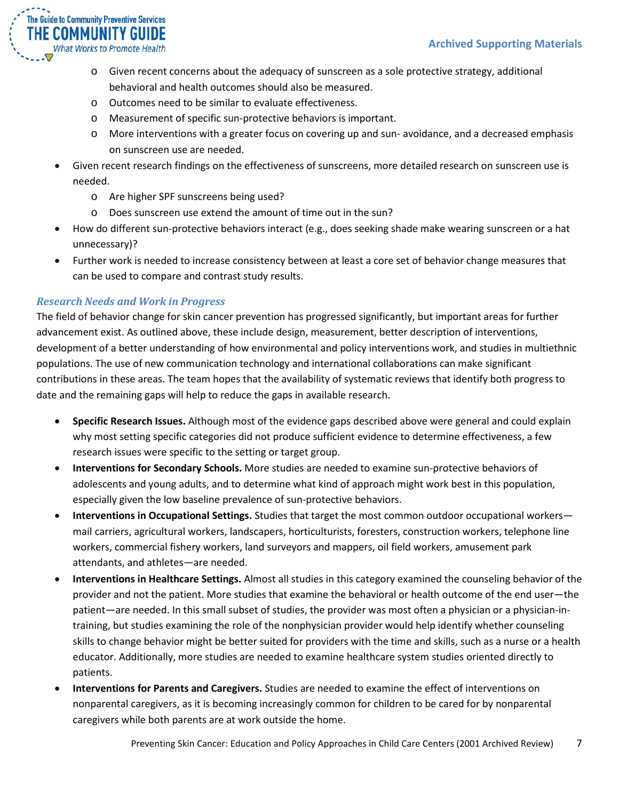

- o Given recent concerns about the adequacy of sunscreen as a sole protective strategy, additional behavioral and health outcomes should also be measured.
- o Outcomes need to be similar to evaluate effectiveness.
- o Measurement of specific sun-protective behaviors is important.
- o More interventions with a greater focus on covering up and sun- avoidance, and a decreased emphasis on sunscreen use are needed.
- Given recent research findings on the effectiveness of sunscreens, more detailed research on sunscreen use is needed.
	- o Are higher SPF sunscreens being used?
	- o Does sunscreen use extend the amount of time out in the sun?
- How do different sun-protective behaviors interact (e.g., does seeking shade make wearing sunscreen or a hat unnecessary)?
- Further work is needed to increase consistency between at least a core set of behavior change measures that can be used to compare and contrast study results.

### *Research Needs and Work in Progress*

The field of behavior change for skin cancer prevention has progressed significantly, but important areas for further advancement exist. As outlined above, these include design, measurement, better description of interventions, development of a better understanding of how environmental and policy interventions work, and studies in multiethnic populations. The use of new communication technology and international collaborations can make significant contributions in these areas. The team hopes that the availability of systematic reviews that identify both progress to date and the remaining gaps will help to reduce the gaps in available research.

- **Specific Research Issues.** Although most of the evidence gaps described above were general and could explain why most setting specific categories did not produce sufficient evidence to determine effectiveness, a few research issues were specific to the setting or target group.
- **Interventions for Secondary Schools.** More studies are needed to examine sun-protective behaviors of adolescents and young adults, and to determine what kind of approach might work best in this population, especially given the low baseline prevalence of sun-protective behaviors.
- **Interventions in Occupational Settings.** Studies that target the most common outdoor occupational workers mail carriers, agricultural workers, landscapers, horticulturists, foresters, construction workers, telephone line workers, commercial fishery workers, land surveyors and mappers, oil field workers, amusement park attendants, and athletes—are needed.
- **Interventions in Healthcare Settings.** Almost all studies in this category examined the counseling behavior of the provider and not the patient. More studies that examine the behavioral or health outcome of the end user—the patient—are needed. In this small subset of studies, the provider was most often a physician or a physician-intraining, but studies examining the role of the nonphysician provider would help identify whether counseling skills to change behavior might be better suited for providers with the time and skills, such as a nurse or a health educator. Additionally, more studies are needed to examine healthcare system studies oriented directly to patients.
- **Interventions for Parents and Caregivers.** Studies are needed to examine the effect of interventions on nonparental caregivers, as it is becoming increasingly common for children to be cared for by nonparental caregivers while both parents are at work outside the home.